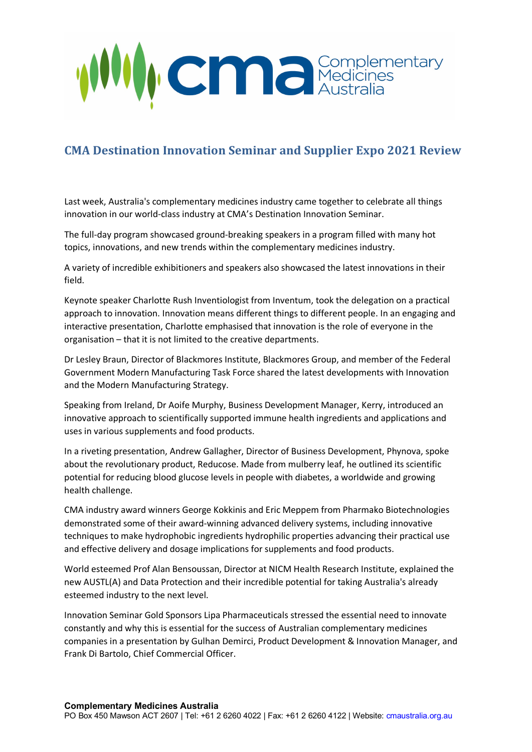

## **CMA Destination Innovation Seminar and Supplier Expo 2021 Review**

Last week, Australia's complementary medicines industry came together to celebrate all things innovation in our world-class industry at CMA's Destination Innovation Seminar.

The full-day program showcased ground-breaking speakers in a program filled with many hot topics, innovations, and new trends within the complementary medicines industry.

A variety of incredible exhibitioners and speakers also showcased the latest innovations in their field.

Keynote speaker Charlotte Rush Inventiologist from Inventum, took the delegation on a practical approach to innovation. Innovation means different things to different people. In an engaging and interactive presentation, Charlotte emphasised that innovation is the role of everyone in the organisation – that it is not limited to the creative departments.

Dr Lesley Braun, Director of Blackmores Institute, Blackmores Group, and member of the Federal Government Modern Manufacturing Task Force shared the latest developments with Innovation and the Modern Manufacturing Strategy.

Speaking from Ireland, Dr Aoife Murphy, Business Development Manager, Kerry, introduced an innovative approach to scientifically supported immune health ingredients and applications and uses in various supplements and food products.

In a riveting presentation, Andrew Gallagher, Director of Business Development, Phynova, spoke about the revolutionary product, Reducose. Made from mulberry leaf, he outlined its scientific potential for reducing blood glucose levels in people with diabetes, a worldwide and growing health challenge.

CMA industry award winners George Kokkinis and Eric Meppem from Pharmako Biotechnologies demonstrated some of their award-winning advanced delivery systems, including innovative techniques to make hydrophobic ingredients hydrophilic properties advancing their practical use and effective delivery and dosage implications for supplements and food products.

World esteemed Prof Alan Bensoussan, Director at NICM Health Research Institute, explained the new AUSTL(A) and Data Protection and their incredible potential for taking Australia's already esteemed industry to the next level.

Innovation Seminar Gold Sponsors Lipa Pharmaceuticals stressed the essential need to innovate constantly and why this is essential for the success of Australian complementary medicines companies in a presentation by Gulhan Demirci, Product Development & Innovation Manager, and Frank Di Bartolo, Chief Commercial Officer.